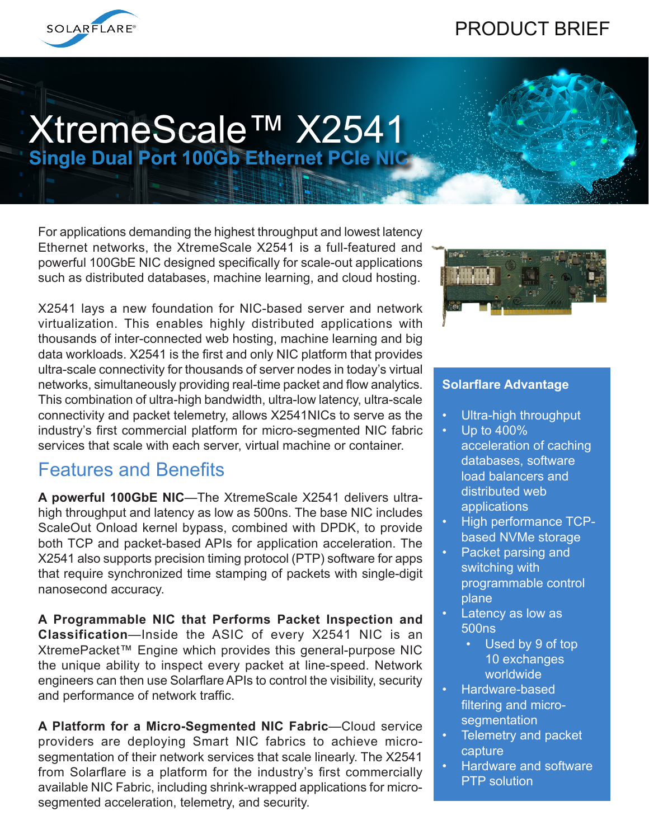# PRODUCT BRIEF



# XtremeScale™ X2541 **Single Dual Port 100Gb Ethernet PCIe NIC**

For applications demanding the highest throughput and lowest latency Ethernet networks, the XtremeScale X2541 is a full-featured and powerful 100GbE NIC designed specifically for scale-out applications such as distributed databases, machine learning, and cloud hosting.

X2541 lays a new foundation for NIC-based server and network virtualization. This enables highly distributed applications with thousands of inter-connected web hosting, machine learning and big data workloads. X2541 is the first and only NIC platform that provides ultra-scale connectivity for thousands of server nodes in today's virtual networks, simultaneously providing real-time packet and flow analytics. This combination of ultra-high bandwidth, ultra-low latency, ultra-scale connectivity and packet telemetry, allows X2541NICs to serve as the industry's first commercial platform for micro-segmented NIC fabric services that scale with each server, virtual machine or container.

### Features and Benefits

**A powerful 100GbE NIC**—The XtremeScale X2541 delivers ultrahigh throughput and latency as low as 500ns. The base NIC includes ScaleOut Onload kernel bypass, combined with DPDK, to provide both TCP and packet-based APIs for application acceleration. The X2541 also supports precision timing protocol (PTP) software for apps that require synchronized time stamping of packets with single-digit nanosecond accuracy.

**A Programmable NIC that Performs Packet Inspection and Classification**—Inside the ASIC of every X2541 NIC is an XtremePacket™ Engine which provides this general-purpose NIC the unique ability to inspect every packet at line-speed. Network engineers can then use Solarflare APIs to control the visibility, security and performance of network traffic.

**A Platform for a Micro-Segmented NIC Fabric**—Cloud service providers are deploying Smart NIC fabrics to achieve microsegmentation of their network services that scale linearly. The X2541 from Solarflare is a platform for the industry's first commercially available NIC Fabric, including shrink-wrapped applications for microsegmented acceleration, telemetry, and security.



### **Solarflare Advantage**

- Ultra-high throughput
- Up to 400% acceleration of caching databases, software load balancers and distributed web applications
- High performance TCPbased NVMe storage
- Packet parsing and switching with programmable control plane
- Latency as low as 500ns
	- Used by 9 of top 10 exchanges worldwide
- Hardware-based filtering and micro**segmentation**
- Telemetry and packet capture
- Hardware and software PTP solution